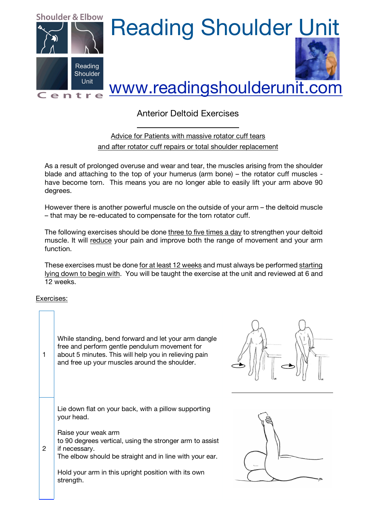

## Anterior Deltoid Exercises

Advice for Patients with massive rotator cuff tears and after rotator cuff repairs or total shoulder replacement

As a result of prolonged overuse and wear and tear, the muscles arising from the shoulder blade and attaching to the top of your humerus (arm bone) – the rotator cuff muscles have become torn. This means you are no longer able to easily lift your arm above 90 degrees.

However there is another powerful muscle on the outside of your arm – the deltoid muscle – that may be re-educated to compensate for the torn rotator cuff.

The following exercises should be done three to five times a day to strengthen your deltoid muscle. It will reduce your pain and improve both the range of movement and your arm function.

These exercises must be done for at least 12 weeks and must always be performed starting lying down to begin with. You will be taught the exercise at the unit and reviewed at 6 and 12 weeks.

Exercises:

| 1              | While standing, bend forward and let your arm dangle<br>free and perform gentle pendulum movement for<br>about 5 minutes. This will help you in relieving pain<br>and free up your muscles around the shoulder.                                                                                       |  |
|----------------|-------------------------------------------------------------------------------------------------------------------------------------------------------------------------------------------------------------------------------------------------------------------------------------------------------|--|
| $\overline{2}$ | Lie down flat on your back, with a pillow supporting<br>your head.<br>Raise your weak arm<br>to 90 degrees vertical, using the stronger arm to assist<br>if necessary.<br>The elbow should be straight and in line with your ear.<br>Hold your arm in this upright position with its own<br>strength. |  |



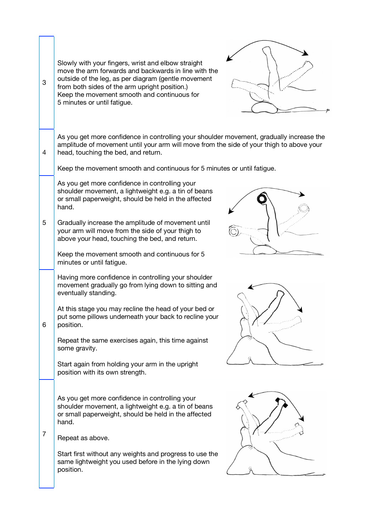